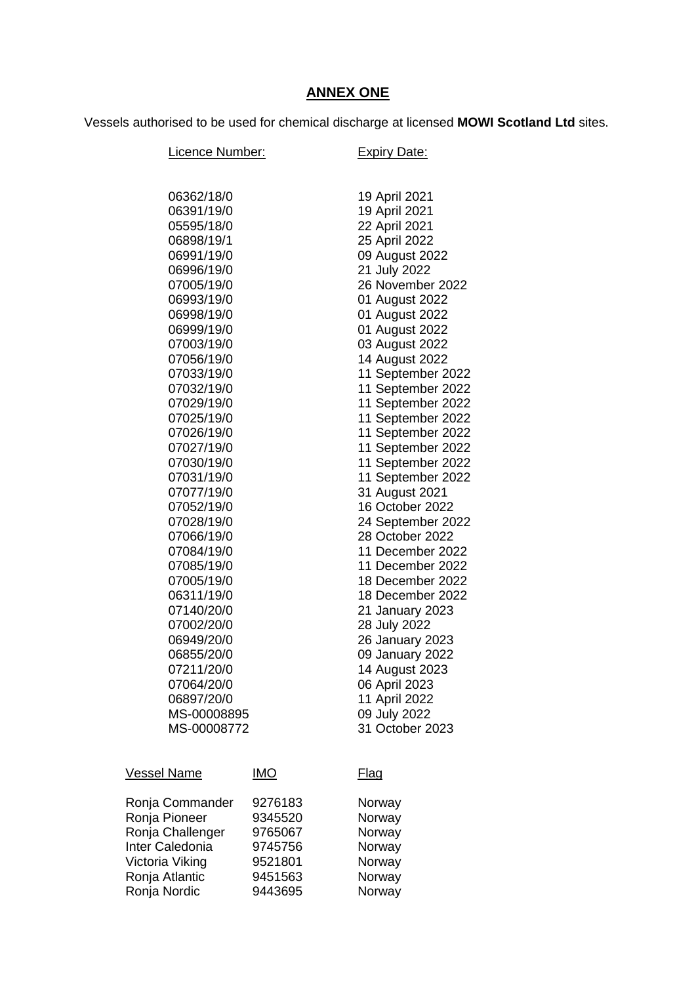## **ANNEX ONE**

Vessels authorised to be used for chemical discharge at licensed **MOWI Scotland Ltd** sites.

| Licence Number:          |            | <b>Expiry Date:</b>                  |
|--------------------------|------------|--------------------------------------|
|                          |            |                                      |
| 06362/18/0               |            | 19 April 2021                        |
| 06391/19/0               |            | 19 April 2021                        |
| 05595/18/0               |            | 22 April 2021                        |
| 06898/19/1               |            | 25 April 2022                        |
| 06991/19/0               |            | 09 August 2022                       |
| 06996/19/0               |            | 21 July 2022                         |
| 07005/19/0               |            | 26 November 2022                     |
| 06993/19/0               |            | 01 August 2022                       |
| 06998/19/0               |            | 01 August 2022                       |
| 06999/19/0               |            | 01 August 2022                       |
| 07003/19/0               |            | 03 August 2022                       |
| 07056/19/0               |            | 14 August 2022                       |
| 07033/19/0               |            | 11 September 2022                    |
| 07032/19/0               |            | 11 September 2022                    |
| 07029/19/0               |            | 11 September 2022                    |
| 07025/19/0               |            | 11 September 2022                    |
| 07026/19/0               |            | 11 September 2022                    |
| 07027/19/0               |            | 11 September 2022                    |
| 07030/19/0               |            | 11 September 2022                    |
| 07031/19/0               |            | 11 September 2022                    |
| 07077/19/0               |            | 31 August 2021                       |
| 07052/19/0               |            | 16 October 2022                      |
| 07028/19/0               |            | 24 September 2022<br>28 October 2022 |
| 07066/19/0               |            | 11 December 2022                     |
| 07084/19/0<br>07085/19/0 |            | 11 December 2022                     |
| 07005/19/0               |            | 18 December 2022                     |
| 06311/19/0               |            | 18 December 2022                     |
| 07140/20/0               |            | 21 January 2023                      |
| 07002/20/0               |            | 28 July 2022                         |
| 06949/20/0               |            | 26 January 2023                      |
| 06855/20/0               |            | 09 January 2022                      |
| 07211/20/0               |            | 14 August 2023                       |
| 07064/20/0               |            | 06 April 2023                        |
| 06897/20/0               |            | 11 April 2022                        |
| MS-00008895              |            | 09 July 2022                         |
| MS-00008772              |            | 31 October 2023                      |
|                          |            |                                      |
| <b>Vessel Name</b>       | <u>IMO</u> | <u>Flag</u>                          |
| Ronja Commander          | 9276183    | Norway                               |
| Ronja Pioneer            | 9345520    | Norway                               |
| Ronja Challenger         | 9765067    | Norway                               |
| Inter Caledonia          | 9745756    | Norway                               |
| Victoria Viking          | 9521801    | Norway                               |
| Ronja Atlantic           | 9451563    | Norway                               |
| Ronja Nordic             | 9443695    | Norway                               |